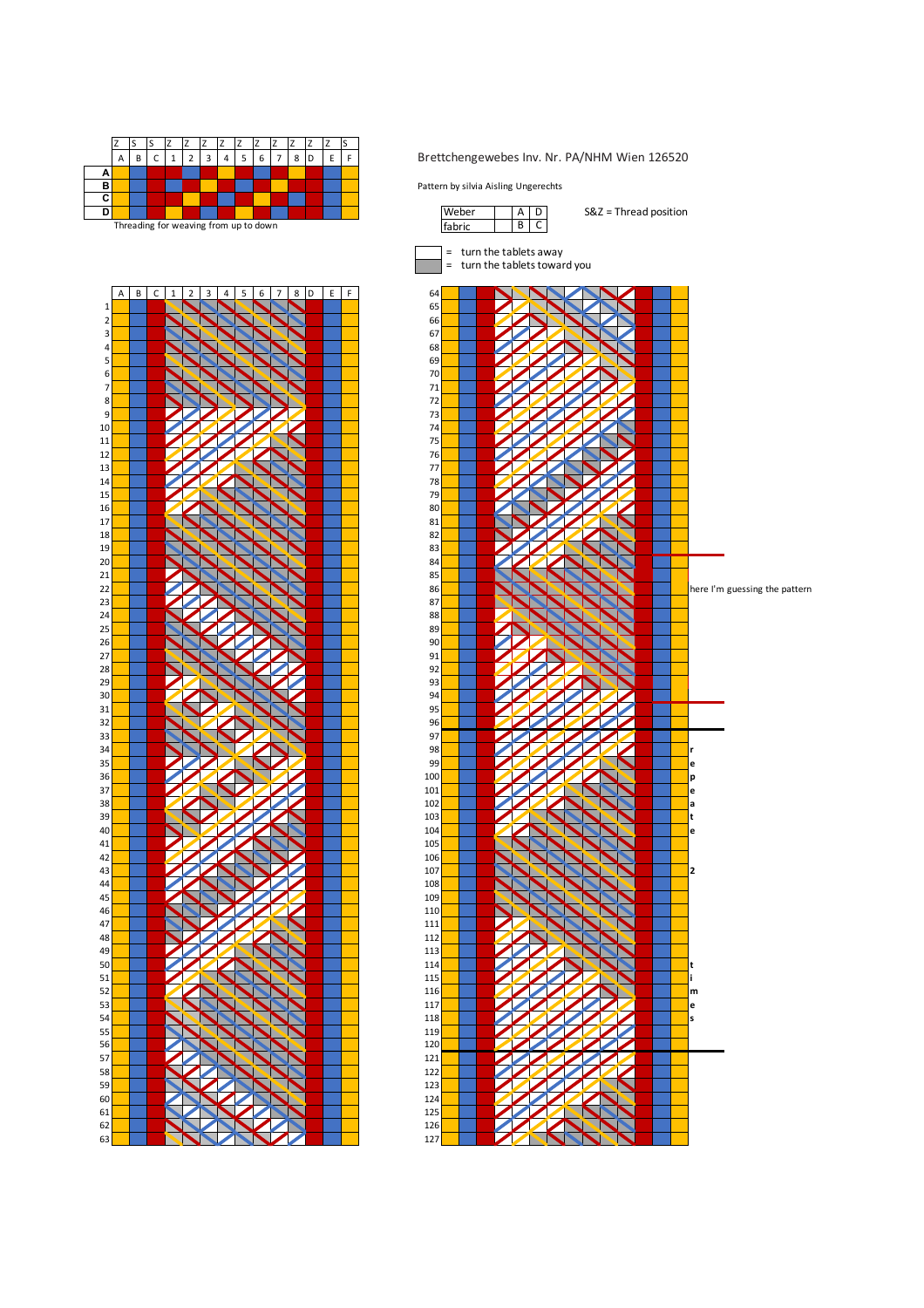